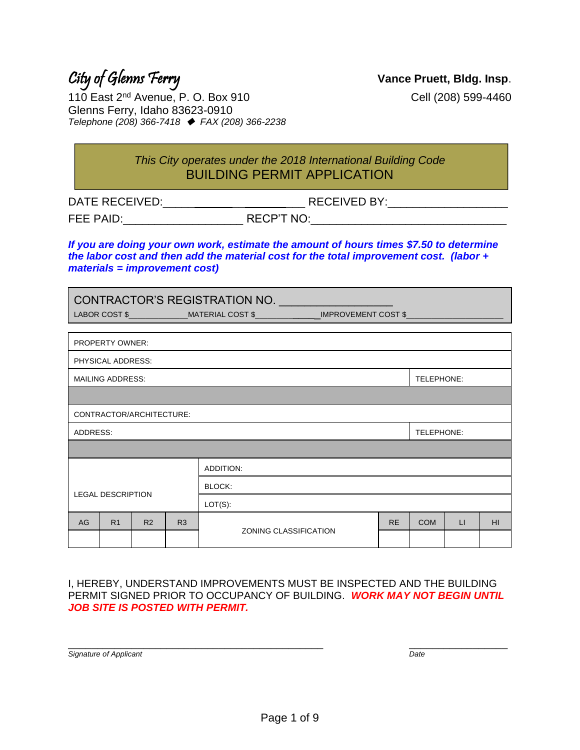### City of Glenns Ferry **Vance Pruett, Bldg. Insp**.

110 East 2<sup>nd</sup> Avenue, P. O. Box 910 Cell (208) 599-4460 Glenns Ferry, Idaho 83623-0910 *Telephone (208) 366-7418* ◆ *FAX (208) 366-2238*

> *This City operates under the 2018 International Building Code* BUILDING PERMIT APPLICATION

DATE RECEIVED:\_\_\_\_\_ \_\_ \_\_\_ RECEIVED BY:\_\_\_\_\_\_\_\_\_\_\_\_\_\_\_\_\_\_\_

FEE PAID:\_\_\_\_\_\_\_\_\_\_\_\_\_\_\_\_\_\_\_ RECP'T NO:\_\_\_\_\_\_\_\_\_\_\_\_\_\_\_\_\_\_\_\_\_\_\_\_\_\_\_\_\_\_\_

*If you are doing your own work, estimate the amount of hours times \$7.50 to determine the labor cost and then add the material cost for the total improvement cost. (labor + materials = improvement cost)*

|                          | CONTRACTOR'S REGISTRATION NO. __________________<br>LABOR COST \$_______________MATERIAL COST \$_______________IMPROVEMENT COST \$________________________ |                          |    |                                           |  |  |            |              |                 |
|--------------------------|------------------------------------------------------------------------------------------------------------------------------------------------------------|--------------------------|----|-------------------------------------------|--|--|------------|--------------|-----------------|
|                          |                                                                                                                                                            |                          |    |                                           |  |  |            |              |                 |
|                          | PROPERTY OWNER:                                                                                                                                            |                          |    |                                           |  |  |            |              |                 |
|                          | PHYSICAL ADDRESS:                                                                                                                                          |                          |    |                                           |  |  |            |              |                 |
|                          | <b>MAILING ADDRESS:</b>                                                                                                                                    |                          |    |                                           |  |  | TELEPHONE: |              |                 |
|                          |                                                                                                                                                            |                          |    |                                           |  |  |            |              |                 |
|                          |                                                                                                                                                            | CONTRACTOR/ARCHITECTURE: |    |                                           |  |  |            |              |                 |
| ADDRESS:                 |                                                                                                                                                            |                          |    |                                           |  |  | TELEPHONE: |              |                 |
|                          |                                                                                                                                                            |                          |    |                                           |  |  |            |              |                 |
|                          | ADDITION:                                                                                                                                                  |                          |    |                                           |  |  |            |              |                 |
|                          | BLOCK:                                                                                                                                                     |                          |    |                                           |  |  |            |              |                 |
| <b>LEGAL DESCRIPTION</b> |                                                                                                                                                            |                          |    | $LOT(S)$ :                                |  |  |            |              |                 |
| AG                       | R <sub>1</sub>                                                                                                                                             | R <sub>2</sub>           | R3 | <b>RE</b><br><b>ZONING CLASSIFICATION</b> |  |  | <b>COM</b> | $\mathsf{L}$ | H <sub>II</sub> |
|                          |                                                                                                                                                            |                          |    |                                           |  |  |            |              |                 |

I, HEREBY, UNDERSTAND IMPROVEMENTS MUST BE INSPECTED AND THE BUILDING PERMIT SIGNED PRIOR TO OCCUPANCY OF BUILDING. *WORK MAY NOT BEGIN UNTIL JOB SITE IS POSTED WITH PERMIT.*

\_\_\_\_\_\_\_\_\_\_\_\_\_\_\_\_\_\_\_\_\_\_\_\_\_\_\_\_\_\_\_\_\_\_\_\_\_\_\_\_\_\_\_\_ \_\_\_\_\_\_\_\_\_\_\_\_\_\_\_\_\_

| Signature of Applicant | Date |
|------------------------|------|
|------------------------|------|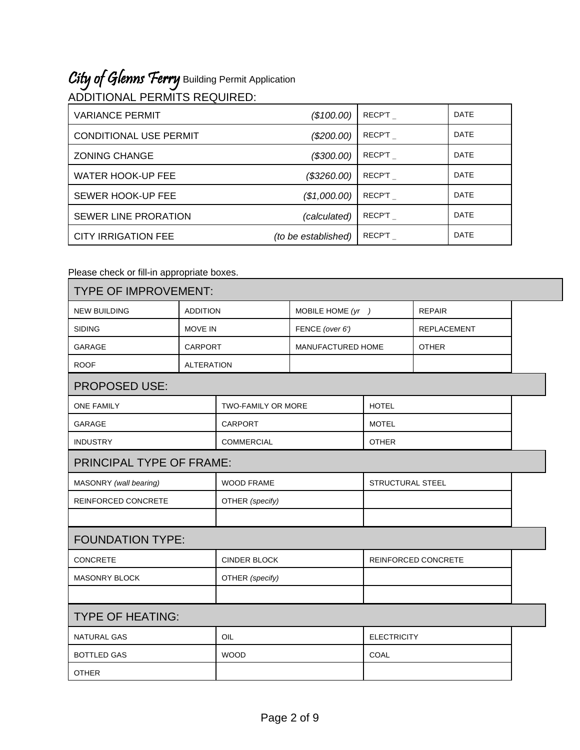## City of Glenns Ferry Building Permit Application

| ADDITIONAL PERMITS REQUIRED: |  |
|------------------------------|--|

| <b>VARIANCE PERMIT</b>        | (\$100.00)          | RECP'T | <b>DATE</b> |
|-------------------------------|---------------------|--------|-------------|
| <b>CONDITIONAL USE PERMIT</b> | (\$200.00)          | RECP'T | <b>DATE</b> |
| <b>ZONING CHANGE</b>          | (\$300.00)          | RECP'T | <b>DATE</b> |
| <b>WATER HOOK-UP FEE</b>      | (\$3260.00)         | RECP'T | <b>DATE</b> |
| SEWER HOOK-UP FEE             | (\$1,000.00)        | RECP'T | <b>DATE</b> |
| <b>SEWER LINE PRORATION</b>   | (calculated)        | RECP'T | <b>DATE</b> |
| <b>CITY IRRIGATION FEE</b>    | (to be established) | RECP'T | <b>DATE</b> |

Please check or fill-in appropriate boxes.

| <b>TYPE OF IMPROVEMENT:</b>            |                   |                           |                   |                            |                    |  |
|----------------------------------------|-------------------|---------------------------|-------------------|----------------------------|--------------------|--|
| <b>NEW BUILDING</b><br><b>ADDITION</b> |                   | MOBILE HOME $(yr)$        |                   | <b>REPAIR</b>              |                    |  |
| <b>SIDING</b>                          | <b>MOVE IN</b>    |                           | FENCE (over 6')   |                            | <b>REPLACEMENT</b> |  |
| GARAGE                                 | <b>CARPORT</b>    |                           | MANUFACTURED HOME |                            | <b>OTHER</b>       |  |
| <b>ROOF</b>                            | <b>ALTERATION</b> |                           |                   |                            |                    |  |
| PROPOSED USE:                          |                   |                           |                   |                            |                    |  |
| <b>ONE FAMILY</b>                      |                   | <b>TWO-FAMILY OR MORE</b> |                   | <b>HOTEL</b>               |                    |  |
| GARAGE                                 |                   | <b>CARPORT</b>            |                   | <b>MOTEL</b>               |                    |  |
| <b>INDUSTRY</b>                        |                   | <b>COMMERCIAL</b>         |                   | <b>OTHER</b>               |                    |  |
| PRINCIPAL TYPE OF FRAME:               |                   |                           |                   |                            |                    |  |
| MASONRY (wall bearing)                 |                   | <b>WOOD FRAME</b>         |                   | <b>STRUCTURAL STEEL</b>    |                    |  |
| REINFORCED CONCRETE                    |                   | OTHER (specify)           |                   |                            |                    |  |
|                                        |                   |                           |                   |                            |                    |  |
| <b>FOUNDATION TYPE:</b>                |                   |                           |                   |                            |                    |  |
| <b>CONCRETE</b>                        |                   | <b>CINDER BLOCK</b>       |                   | <b>REINFORCED CONCRETE</b> |                    |  |
| <b>MASONRY BLOCK</b>                   |                   | OTHER (specify)           |                   |                            |                    |  |
|                                        |                   |                           |                   |                            |                    |  |
| <b>TYPE OF HEATING:</b>                |                   |                           |                   |                            |                    |  |
| <b>NATURAL GAS</b>                     |                   | OIL                       |                   | <b>ELECTRICITY</b>         |                    |  |
| <b>BOTTLED GAS</b>                     |                   | <b>WOOD</b>               |                   | COAL                       |                    |  |
| <b>OTHER</b>                           |                   |                           |                   |                            |                    |  |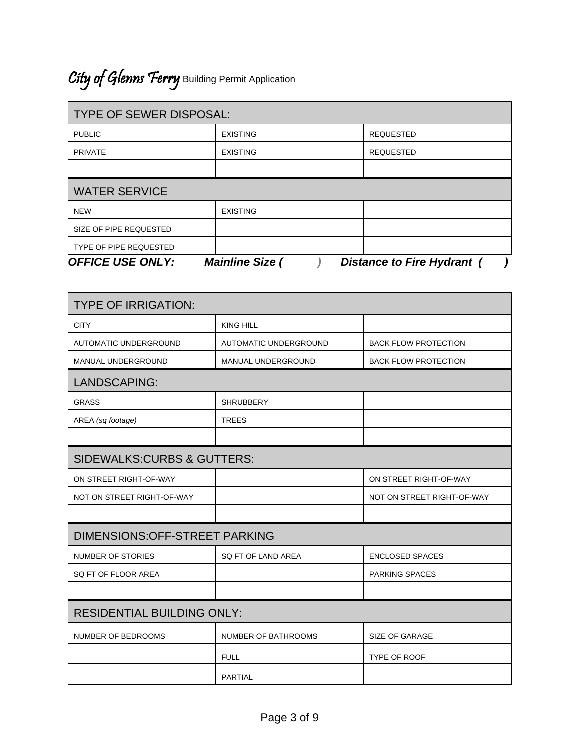# City of Glenns Ferry Building Permit Application

| <b>TYPE OF SEWER DISPOSAL:</b>                                                  |                 |                  |  |
|---------------------------------------------------------------------------------|-----------------|------------------|--|
| <b>PUBLIC</b>                                                                   | <b>EXISTING</b> | <b>REQUESTED</b> |  |
| <b>PRIVATE</b>                                                                  | <b>EXISTING</b> | <b>REQUESTED</b> |  |
|                                                                                 |                 |                  |  |
| <b>WATER SERVICE</b>                                                            |                 |                  |  |
| <b>NEW</b>                                                                      | <b>EXISTING</b> |                  |  |
| SIZE OF PIPE REQUESTED                                                          |                 |                  |  |
| TYPE OF PIPE REQUESTED                                                          |                 |                  |  |
| <b>OFFICE USE ONLY:</b><br><b>Mainline Size (</b><br>Distance to Fire Hydrant ( |                 |                  |  |

| <b>TYPE OF IRRIGATION:</b>            |                            |                             |  |  |
|---------------------------------------|----------------------------|-----------------------------|--|--|
| <b>CITY</b>                           | <b>KING HILL</b>           |                             |  |  |
| <b>AUTOMATIC UNDERGROUND</b>          | AUTOMATIC UNDERGROUND      | <b>BACK FLOW PROTECTION</b> |  |  |
| MANUAL UNDERGROUND                    | <b>MANUAL UNDERGROUND</b>  | <b>BACK FLOW PROTECTION</b> |  |  |
| <b>LANDSCAPING:</b>                   |                            |                             |  |  |
| <b>GRASS</b>                          | <b>SHRUBBERY</b>           |                             |  |  |
| AREA (sq footage)                     | <b>TREES</b>               |                             |  |  |
|                                       |                            |                             |  |  |
| <b>SIDEWALKS:CURBS &amp; GUTTERS:</b> |                            |                             |  |  |
| ON STREET RIGHT-OF-WAY                |                            | ON STREET RIGHT-OF-WAY      |  |  |
| NOT ON STREET RIGHT-OF-WAY            |                            | NOT ON STREET RIGHT-OF-WAY  |  |  |
|                                       |                            |                             |  |  |
| <b>DIMENSIONS:OFF-STREET PARKING</b>  |                            |                             |  |  |
| <b>NUMBER OF STORIES</b>              | SQ FT OF LAND AREA         | <b>ENCLOSED SPACES</b>      |  |  |
| SQ FT OF FLOOR AREA                   |                            | <b>PARKING SPACES</b>       |  |  |
|                                       |                            |                             |  |  |
| <b>RESIDENTIAL BUILDING ONLY:</b>     |                            |                             |  |  |
| NUMBER OF BEDROOMS                    | <b>NUMBER OF BATHROOMS</b> | <b>SIZE OF GARAGE</b>       |  |  |
|                                       | <b>FULL</b>                | <b>TYPE OF ROOF</b>         |  |  |
|                                       | <b>PARTIAL</b>             |                             |  |  |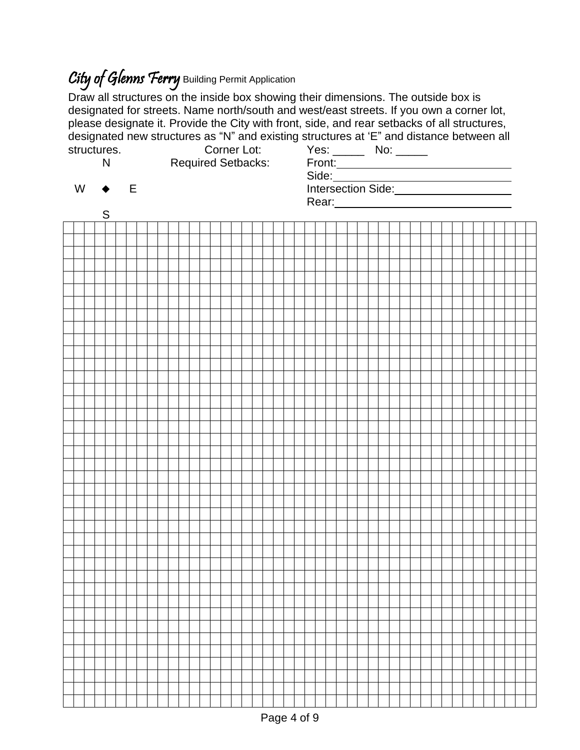## City of Glenns Ferry Building Permit Application

Draw all structures on the inside box showing their dimensions. The outside box is designated for streets. Name north/south and west/east streets. If you own a corner lot, please designate it. Provide the City with front, side, and rear setbacks of all structures, designated new structures as "N" and existing structures at 'E" and distance between all structures. Corner Lot: Yes: No: \_\_\_\_

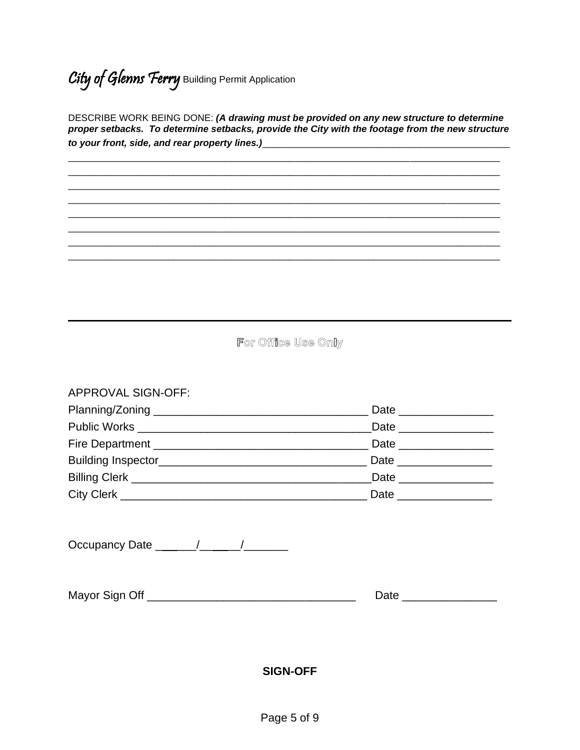City of Glenns Ferry Building Permit Application

DESCRIBE WORK BEING DONE: (A drawing must be provided on any new structure to determine proper setbacks. To determine setbacks, provide the City with the footage from the new structure to your front, side, and rear property lines.)\_\_\_\_\_\_\_\_\_\_\_\_\_\_\_\_\_\_\_\_\_\_\_\_\_\_\_\_\_\_\_\_\_\_

For Office Use Only

#### **APPROVAL SIGN-OFF:**

|                                                                                                                                                                                                                                      | Date ______________  |
|--------------------------------------------------------------------------------------------------------------------------------------------------------------------------------------------------------------------------------------|----------------------|
|                                                                                                                                                                                                                                      |                      |
| Billing Clerk <u>New York and State and State and State and State and State and State and State and State and State and State and State and State and State and State and State and State and State and State and State and Stat</u> |                      |
|                                                                                                                                                                                                                                      | Date _______________ |

Occupancy Date \_\_\_\_\_/\_\_\_\_/\_\_\_\_/

| Mayor Sign Off |  |
|----------------|--|
|----------------|--|

#### **SIGN-OFF**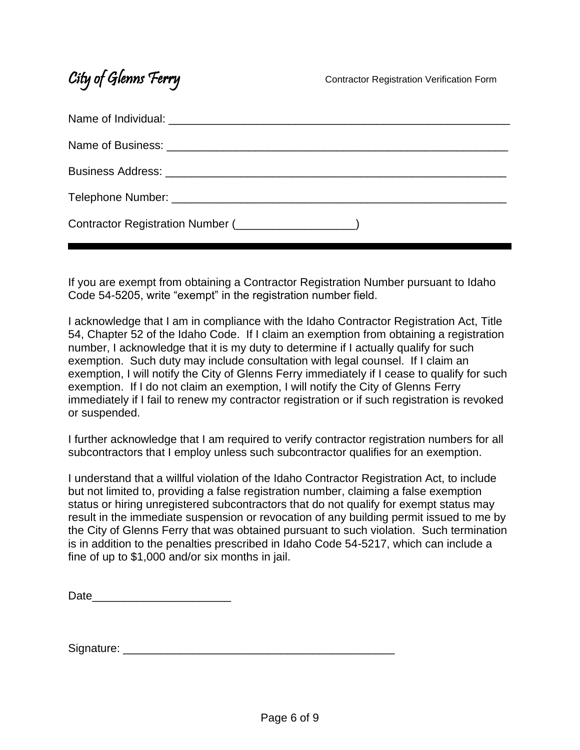### City of Glenns Ferry **Contractor Registration Verification Form**

| Contractor Registration Number ( <b>Contractor Registration Number</b> ( |
|--------------------------------------------------------------------------|

If you are exempt from obtaining a Contractor Registration Number pursuant to Idaho Code 54-5205, write "exempt" in the registration number field.

I acknowledge that I am in compliance with the Idaho Contractor Registration Act, Title 54, Chapter 52 of the Idaho Code. If I claim an exemption from obtaining a registration number, I acknowledge that it is my duty to determine if I actually qualify for such exemption. Such duty may include consultation with legal counsel. If I claim an exemption, I will notify the City of Glenns Ferry immediately if I cease to qualify for such exemption. If I do not claim an exemption, I will notify the City of Glenns Ferry immediately if I fail to renew my contractor registration or if such registration is revoked or suspended.

I further acknowledge that I am required to verify contractor registration numbers for all subcontractors that I employ unless such subcontractor qualifies for an exemption.

I understand that a willful violation of the Idaho Contractor Registration Act, to include but not limited to, providing a false registration number, claiming a false exemption status or hiring unregistered subcontractors that do not qualify for exempt status may result in the immediate suspension or revocation of any building permit issued to me by the City of Glenns Ferry that was obtained pursuant to such violation. Such termination is in addition to the penalties prescribed in Idaho Code 54-5217, which can include a fine of up to \$1,000 and/or six months in jail.

| Date |  |  |  |
|------|--|--|--|
|      |  |  |  |

Signature: \_\_\_\_\_\_\_\_\_\_\_\_\_\_\_\_\_\_\_\_\_\_\_\_\_\_\_\_\_\_\_\_\_\_\_\_\_\_\_\_\_\_\_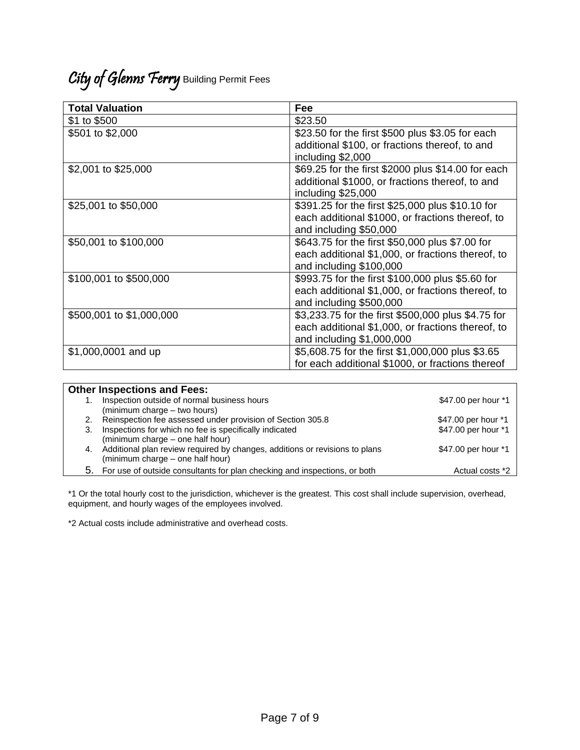### City of Glenns Ferry Building Permit Fees

| <b>Total Valuation</b>   | Fee                                                |
|--------------------------|----------------------------------------------------|
| \$1 to \$500             | \$23.50                                            |
| \$501 to \$2,000         | \$23.50 for the first \$500 plus \$3.05 for each   |
|                          | additional \$100, or fractions thereof, to and     |
|                          | including \$2,000                                  |
| \$2,001 to \$25,000      | \$69.25 for the first \$2000 plus \$14.00 for each |
|                          | additional \$1000, or fractions thereof, to and    |
|                          | including \$25,000                                 |
| \$25,001 to \$50,000     | \$391.25 for the first \$25,000 plus \$10.10 for   |
|                          | each additional \$1000, or fractions thereof, to   |
|                          | and including \$50,000                             |
| \$50,001 to \$100,000    | \$643.75 for the first \$50,000 plus \$7.00 for    |
|                          | each additional \$1,000, or fractions thereof, to  |
|                          | and including \$100,000                            |
| \$100,001 to \$500,000   | \$993.75 for the first \$100,000 plus \$5.60 for   |
|                          | each additional \$1,000, or fractions thereof, to  |
|                          | and including \$500,000                            |
| \$500,001 to \$1,000,000 | \$3,233.75 for the first \$500,000 plus \$4.75 for |
|                          | each additional \$1,000, or fractions thereof, to  |
|                          | and including \$1,000,000                          |
| \$1,000,0001 and up      | \$5,608.75 for the first \$1,000,000 plus \$3.65   |
|                          | for each additional \$1000, or fractions thereof   |

| <b>Other Inspections and Fees:</b> |                                                                                |                     |
|------------------------------------|--------------------------------------------------------------------------------|---------------------|
|                                    | Inspection outside of normal business hours                                    | \$47.00 per hour *1 |
|                                    | (minimum charge – two hours)                                                   |                     |
|                                    | 2. Reinspection fee assessed under provision of Section 305.8                  | \$47.00 per hour *1 |
| 3.                                 | Inspections for which no fee is specifically indicated                         | \$47.00 per hour *1 |
|                                    | (minimum charge - one half hour)                                               |                     |
|                                    | 4. Additional plan review required by changes, additions or revisions to plans | \$47.00 per hour *1 |
|                                    | (minimum charge – one half hour)                                               |                     |
|                                    | 5. For use of outside consultants for plan checking and inspections, or both   | Actual costs *2     |

\*1 Or the total hourly cost to the jurisdiction, whichever is the greatest. This cost shall include supervision, overhead, equipment, and hourly wages of the employees involved.

\*2 Actual costs include administrative and overhead costs.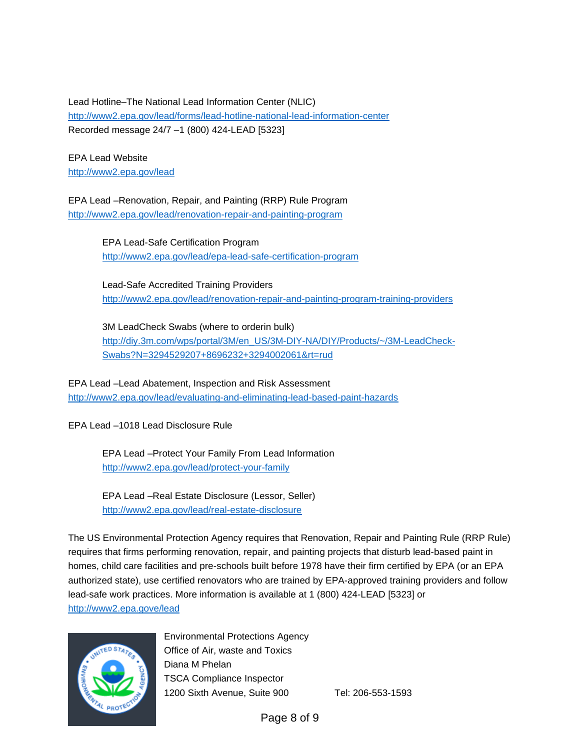Lead Hotline–The National Lead Information Center (NLIC) <http://www2.epa.gov/lead/forms/lead-hotline-national-lead-information-center> Recorded message 24/7 –1 (800) 424-LEAD [5323]

EPA Lead Website <http://www2.epa.gov/lead>

EPA Lead –Renovation, Repair, and Painting (RRP) Rule Program <http://www2.epa.gov/lead/renovation-repair-and-painting-program>

> EPA Lead-Safe Certification Program <http://www2.epa.gov/lead/epa-lead-safe-certification-program>

Lead-Safe Accredited Training Providers <http://www2.epa.gov/lead/renovation-repair-and-painting-program-training-providers>

3M LeadCheck Swabs (where to orderin bulk) [http://diy.3m.com/wps/portal/3M/en\\_US/3M-DIY-NA/DIY/Products/~/3M-LeadCheck-](http://diy.3m.com/wps/portal/3M/en_US/3M-DIY-NA/DIY/Products/~/3M-LeadCheck-Swabs?N=3294529207+8696232+3294002061&rt=rud)[Swabs?N=3294529207+8696232+3294002061&rt=rud](http://diy.3m.com/wps/portal/3M/en_US/3M-DIY-NA/DIY/Products/~/3M-LeadCheck-Swabs?N=3294529207+8696232+3294002061&rt=rud)

EPA Lead –Lead Abatement, Inspection and Risk Assessment <http://www2.epa.gov/lead/evaluating-and-eliminating-lead-based-paint-hazards>

EPA Lead –1018 Lead Disclosure Rule

EPA Lead –Protect Your Family From Lead Information <http://www2.epa.gov/lead/protect-your-family>

EPA Lead –Real Estate Disclosure (Lessor, Seller) <http://www2.epa.gov/lead/real-estate-disclosure>

The US Environmental Protection Agency requires that Renovation, Repair and Painting Rule (RRP Rule) requires that firms performing renovation, repair, and painting projects that disturb lead-based paint in homes, child care facilities and pre-schools built before 1978 have their firm certified by EPA (or an EPA authorized state), use certified renovators who are trained by EPA-approved training providers and follow lead-safe work practices. More information is available at 1 (800) 424-LEAD [5323] or <http://www2.epa.gove/lead>



Environmental Protections Agency Office of Air, waste and Toxics Diana M Phelan TSCA Compliance Inspector 1200 Sixth Avenue, Suite 900 Tel: 206-553-1593